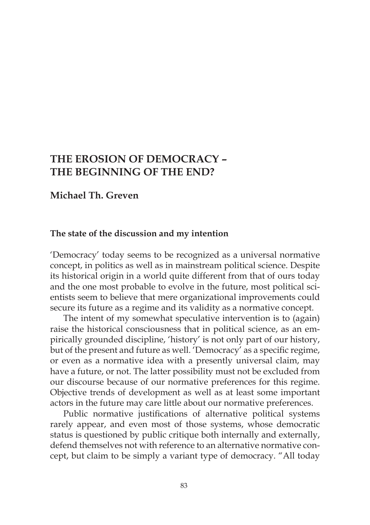# **THE EROSION OF DEMOCRACY – THE BEGINNING OF THE END?**

# **Michael Th. Greven**

#### **The state of the discussion and my intention**

'Democracy' today seems to be recognized as a universal normative concept, in politics as well as in mainstream political science. Despite its historical origin in a world quite different from that of ours today and the one most probable to evolve in the future, most political scientists seem to believe that mere organizational improvements could secure its future as a regime and its validity as a normative concept.

The intent of my somewhat speculative intervention is to (again) raise the historical consciousness that in political science, as an empirically grounded discipline, 'history' is not only part of our history, but of the present and future as well. 'Democracy' as a specific regime, or even as a normative idea with a presently universal claim, may have a future, or not. The latter possibility must not be excluded from our discourse because of our normative preferences for this regime. Objective trends of development as well as at least some important actors in the future may care little about our normative preferences.

Public normative justifications of alternative political systems rarely appear, and even most of those systems, whose democratic status is questioned by public critique both internally and externally, defend themselves not with reference to an alternative normative concept, but claim to be simply a variant type of democracy. "All today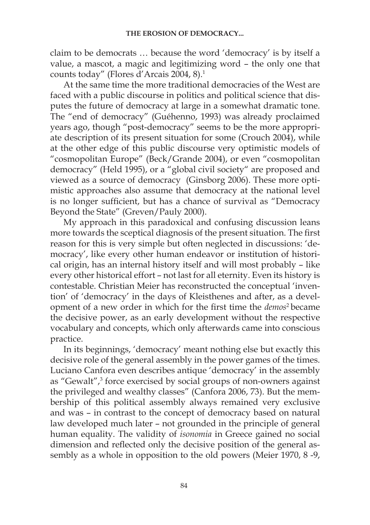claim to be democrats … because the word 'democracy' is by itself a value, a mascot, a magic and legitimizing word – the only one that counts today" (Flores d'Arcais 2004, 8).<sup>1</sup>

At the same time the more traditional democracies of the West are faced with a public discourse in politics and political science that disputes the future of democracy at large in a somewhat dramatic tone. The "end of democracy" (Guéhenno, 1993) was already proclaimed years ago, though "post-democracy" seems to be the more appropriate description of its present situation for some (Crouch 2004), while at the other edge of this public discourse very optimistic models of "cosmopolitan Europe" (Beck/Grande 2004), or even "cosmopolitan democracy" (Held 1995), or a "global civil society" are proposed and viewed as a source of democracy (Ginsborg 2006). These more optimistic approaches also assume that democracy at the national level is no longer sufficient, but has a chance of survival as "Democracy Beyond the State" (Greven/Pauly 2000).

My approach in this paradoxical and confusing discussion leans more towards the sceptical diagnosis of the present situation. The first reason for this is very simple but often neglected in discussions: 'democracy', like every other human endeavor or institution of historical origin, has an internal history itself and will most probably – like every other historical effort – not last for all eternity. Even its history is contestable. Christian Meier has reconstructed the conceptual 'invention' of 'democracy' in the days of Kleisthenes and after, as a development of a new order in which for the first time the *demos*2 became the decisive power, as an early development without the respective vocabulary and concepts, which only afterwards came into conscious practice.

In its beginnings, 'democracy' meant nothing else but exactly this decisive role of the general assembly in the power games of the times. Luciano Canfora even describes antique 'democracy' in the assembly as "Gewalt",<sup>3</sup> force exercised by social groups of non-owners against the privileged and wealthy classes" (Canfora 2006, 73). But the membership of this political assembly always remained very exclusive and was – in contrast to the concept of democracy based on natural law developed much later – not grounded in the principle of general human equality. The validity of *isonomia* in Greece gained no social dimension and reflected only the decisive position of the general assembly as a whole in opposition to the old powers (Meier 1970, 8 -9,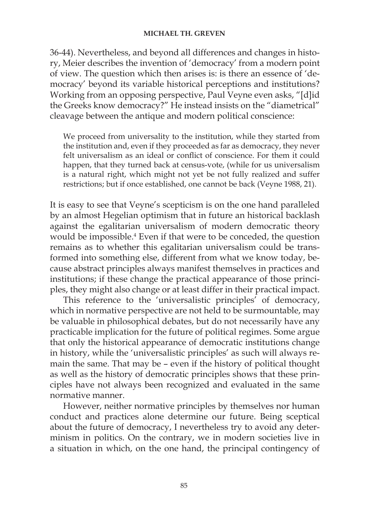36-44). Nevertheless, and beyond all differences and changes in history, Meier describes the invention of 'democracy' from a modern point of view. The question which then arises is: is there an essence of 'democracy' beyond its variable historical perceptions and institutions? Working from an opposing perspective, Paul Veyne even asks, "[d]id the Greeks know democracy?" He instead insists on the "diametrical" cleavage between the antique and modern political conscience:

We proceed from universality to the institution, while they started from the institution and, even if they proceeded as far as democracy, they never felt universalism as an ideal or conflict of conscience. For them it could happen, that they turned back at census-vote, (while for us universalism is a natural right, which might not yet be not fully realized and suffer restrictions; but if once established, one cannot be back (Veyne 1988, 21).

It is easy to see that Veyne's scepticism is on the one hand paralleled by an almost Hegelian optimism that in future an historical backlash against the egalitarian universalism of modern democratic theory would be impossible.4 Even if that were to be conceded, the question remains as to whether this egalitarian universalism could be transformed into something else, different from what we know today, because abstract principles always manifest themselves in practices and institutions; if these change the practical appearance of those principles, they might also change or at least differ in their practical impact.

This reference to the 'universalistic principles' of democracy, which in normative perspective are not held to be surmountable, may be valuable in philosophical debates, but do not necessarily have any practicable implication for the future of political regimes. Some argue that only the historical appearance of democratic institutions change in history, while the 'universalistic principles' as such will always remain the same. That may be – even if the history of political thought as well as the history of democratic principles shows that these principles have not always been recognized and evaluated in the same normative manner.

However, neither normative principles by themselves nor human conduct and practices alone determine our future. Being sceptical about the future of democracy, I nevertheless try to avoid any determinism in politics. On the contrary, we in modern societies live in a situation in which, on the one hand, the principal contingency of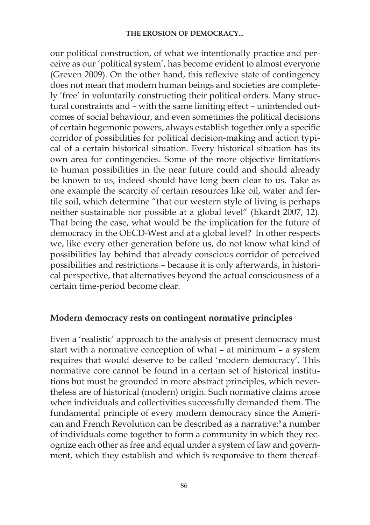#### **THE EROSION OF DEMOCRACY...**

our political construction, of what we intentionally practice and perceive as our 'political system', has become evident to almost everyone (Greven 2009). On the other hand, this reflexive state of contingency does not mean that modern human beings and societies are completely 'free' in voluntarily constructing their political orders. Many structural constraints and – with the same limiting effect – unintended outcomes of social behaviour, and even sometimes the political decisions of certain hegemonic powers, always establish together only a specific corridor of possibilities for political decision-making and action typical of a certain historical situation. Every historical situation has its own area for contingencies. Some of the more objective limitations to human possibilities in the near future could and should already be known to us, indeed should have long been clear to us. Take as one example the scarcity of certain resources like oil, water and fertile soil, which determine "that our western style of living is perhaps neither sustainable nor possible at a global level" (Ekardt 2007, 12). That being the case, what would be the implication for the future of democracy in the OECD-West and at a global level? In other respects we, like every other generation before us, do not know what kind of possibilities lay behind that already conscious corridor of perceived possibilities and restrictions – because it is only afterwards, in historical perspective, that alternatives beyond the actual consciousness of a certain time-period become clear.

## **Modern democracy rests on contingent normative principles**

Even a 'realistic' approach to the analysis of present democracy must start with a normative conception of what – at minimum – a system requires that would deserve to be called 'modern democracy'. This normative core cannot be found in a certain set of historical institutions but must be grounded in more abstract principles, which nevertheless are of historical (modern) origin. Such normative claims arose when individuals and collectivities successfully demanded them. The fundamental principle of every modern democracy since the American and French Revolution can be described as a narrative:<sup>5</sup> a number of individuals come together to form a community in which they recognize each other as free and equal under a system of law and government, which they establish and which is responsive to them thereaf-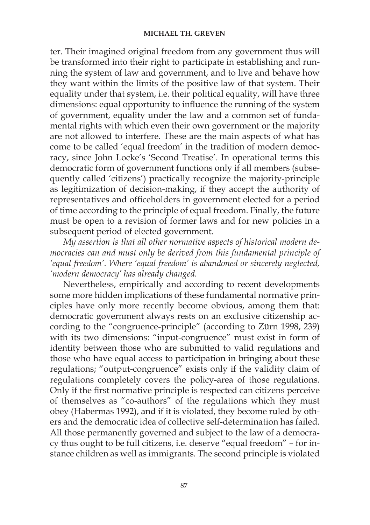ter. Their imagined original freedom from any government thus will be transformed into their right to participate in establishing and running the system of law and government, and to live and behave how they want within the limits of the positive law of that system. Their equality under that system, i.e. their political equality, will have three dimensions: equal opportunity to influence the running of the system of government, equality under the law and a common set of fundamental rights with which even their own government or the majority are not allowed to interfere. These are the main aspects of what has come to be called 'equal freedom' in the tradition of modern democracy, since John Locke's 'Second Treatise'. In operational terms this democratic form of government functions only if all members (subsequently called 'citizens') practically recognize the majority-principle as legitimization of decision-making, if they accept the authority of representatives and officeholders in government elected for a period of time according to the principle of equal freedom. Finally, the future must be open to a revision of former laws and for new policies in a subsequent period of elected government.

*My assertion is that all other normative aspects of historical modern democracies can and must only be derived from this fundamental principle of 'equal freedom'. Where 'equal freedom' is abandoned or sincerely neglected, 'modern democracy' has already changed.*

Nevertheless, empirically and according to recent developments some more hidden implications of these fundamental normative principles have only more recently become obvious, among them that: democratic government always rests on an exclusive citizenship according to the "congruence-principle" (according to Zürn 1998, 239) with its two dimensions: "input-congruence" must exist in form of identity between those who are submitted to valid regulations and those who have equal access to participation in bringing about these regulations; "output-congruence" exists only if the validity claim of regulations completely covers the policy-area of those regulations. Only if the first normative principle is respected can citizens perceive of themselves as "co-authors" of the regulations which they must obey (Habermas 1992), and if it is violated, they become ruled by others and the democratic idea of collective self-determination has failed. All those permanently governed and subject to the law of a democracy thus ought to be full citizens, i.e. deserve "equal freedom" – for instance children as well as immigrants. The second principle is violated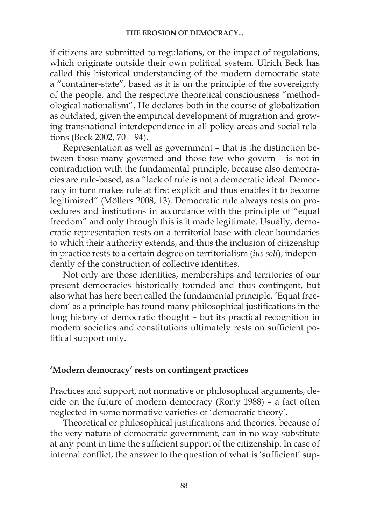if citizens are submitted to regulations, or the impact of regulations, which originate outside their own political system. Ulrich Beck has called this historical understanding of the modern democratic state a "container-state", based as it is on the principle of the sovereignty of the people, and the respective theoretical consciousness "methodological nationalism". He declares both in the course of globalization as outdated, given the empirical development of migration and growing transnational interdependence in all policy-areas and social relations (Beck 2002, 70 – 94).

Representation as well as government – that is the distinction between those many governed and those few who govern – is not in contradiction with the fundamental principle, because also democracies are rule-based, as a "lack of rule is not a democratic ideal. Democracy in turn makes rule at first explicit and thus enables it to become legitimized" (Möllers 2008, 13). Democratic rule always rests on procedures and institutions in accordance with the principle of "equal freedom" and only through this is it made legitimate. Usually, democratic representation rests on a territorial base with clear boundaries to which their authority extends, and thus the inclusion of citizenship in practice rests to a certain degree on territorialism (*ius soli*), independently of the construction of collective identities.

Not only are those identities, memberships and territories of our present democracies historically founded and thus contingent, but also what has here been called the fundamental principle. 'Equal freedom' as a principle has found many philosophical justifications in the long history of democratic thought – but its practical recognition in modern societies and constitutions ultimately rests on sufficient political support only.

# **'Modern democracy' rests on contingent practices**

Practices and support, not normative or philosophical arguments, decide on the future of modern democracy (Rorty 1988) – a fact often neglected in some normative varieties of 'democratic theory'.

Theoretical or philosophical justifications and theories, because of the very nature of democratic government, can in no way substitute at any point in time the sufficient support of the citizenship. In case of internal conflict, the answer to the question of what is 'sufficient' sup-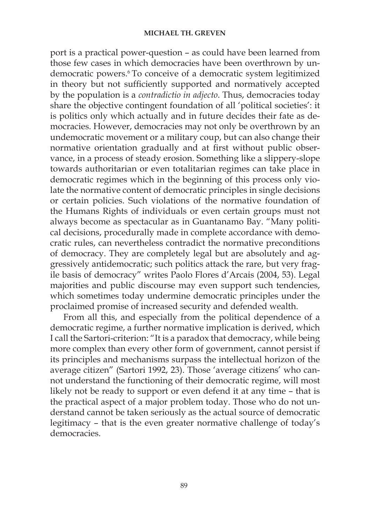port is a practical power-question – as could have been learned from those few cases in which democracies have been overthrown by undemocratic powers.6 To conceive of a democratic system legitimized in theory but not sufficiently supported and normatively accepted by the population is a *contradictio in adjecto*. Thus, democracies today share the objective contingent foundation of all 'political societies': it is politics only which actually and in future decides their fate as democracies. However, democracies may not only be overthrown by an undemocratic movement or a military coup, but can also change their normative orientation gradually and at first without public observance, in a process of steady erosion. Something like a slippery-slope towards authoritarian or even totalitarian regimes can take place in democratic regimes which in the beginning of this process only violate the normative content of democratic principles in single decisions or certain policies. Such violations of the normative foundation of the Humans Rights of individuals or even certain groups must not always become as spectacular as in Guantanamo Bay. "Many political decisions, procedurally made in complete accordance with democratic rules, can nevertheless contradict the normative preconditions of democracy. They are completely legal but are absolutely and aggressively antidemocratic; such politics attack the rare, but very fragile basis of democracy" writes Paolo Flores d'Arcais (2004, 53). Legal majorities and public discourse may even support such tendencies, which sometimes today undermine democratic principles under the proclaimed promise of increased security and defended wealth.

From all this, and especially from the political dependence of a democratic regime, a further normative implication is derived, which I call the Sartori-criterion: "It is a paradox that democracy, while being more complex than every other form of government, cannot persist if its principles and mechanisms surpass the intellectual horizon of the average citizen" (Sartori 1992, 23). Those 'average citizens' who cannot understand the functioning of their democratic regime, will most likely not be ready to support or even defend it at any time – that is the practical aspect of a major problem today. Those who do not understand cannot be taken seriously as the actual source of democratic legitimacy – that is the even greater normative challenge of today's democracies.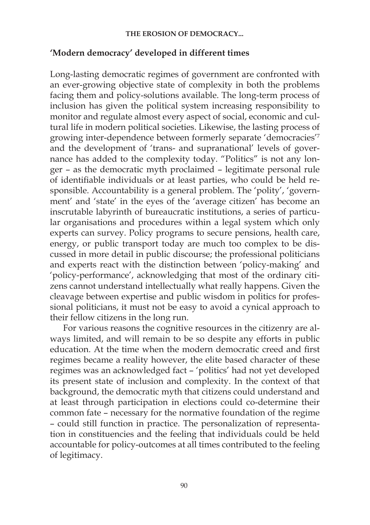#### **THE EROSION OF DEMOCRACY...**

# **'Modern democracy' developed in different times**

Long-lasting democratic regimes of government are confronted with an ever-growing objective state of complexity in both the problems facing them and policy-solutions available. The long-term process of inclusion has given the political system increasing responsibility to monitor and regulate almost every aspect of social, economic and cultural life in modern political societies. Likewise, the lasting process of growing inter-dependence between formerly separate 'democracies'7 and the development of 'trans- and supranational' levels of governance has added to the complexity today. "Politics" is not any longer – as the democratic myth proclaimed – legitimate personal rule of identifiable individuals or at least parties, who could be held responsible. Accountability is a general problem. The 'polity', 'government' and 'state' in the eyes of the 'average citizen' has become an inscrutable labyrinth of bureaucratic institutions, a series of particular organisations and procedures within a legal system which only experts can survey. Policy programs to secure pensions, health care, energy, or public transport today are much too complex to be discussed in more detail in public discourse; the professional politicians and experts react with the distinction between 'policy-making' and 'policy-performance', acknowledging that most of the ordinary citizens cannot understand intellectually what really happens. Given the cleavage between expertise and public wisdom in politics for professional politicians, it must not be easy to avoid a cynical approach to their fellow citizens in the long run.

For various reasons the cognitive resources in the citizenry are always limited, and will remain to be so despite any efforts in public education. At the time when the modern democratic creed and first regimes became a reality however, the elite based character of these regimes was an acknowledged fact – 'politics' had not yet developed its present state of inclusion and complexity. In the context of that background, the democratic myth that citizens could understand and at least through participation in elections could co-determine their common fate – necessary for the normative foundation of the regime – could still function in practice. The personalization of representation in constituencies and the feeling that individuals could be held accountable for policy-outcomes at all times contributed to the feeling of legitimacy.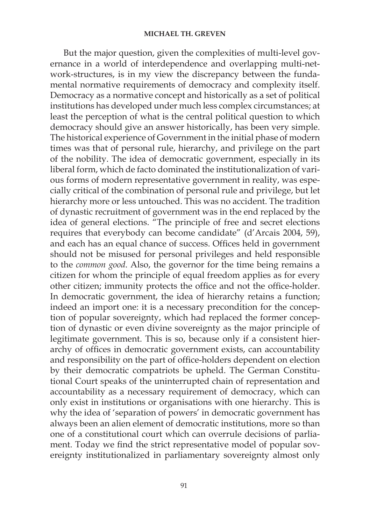But the major question, given the complexities of multi-level governance in a world of interdependence and overlapping multi-network-structures, is in my view the discrepancy between the fundamental normative requirements of democracy and complexity itself. Democracy as a normative concept and historically as a set of political institutions has developed under much less complex circumstances; at least the perception of what is the central political question to which democracy should give an answer historically, has been very simple. The historical experience of Government in the initial phase of modern times was that of personal rule, hierarchy, and privilege on the part of the nobility. The idea of democratic government, especially in its liberal form, which de facto dominated the institutionalization of various forms of modern representative government in reality, was especially critical of the combination of personal rule and privilege, but let hierarchy more or less untouched. This was no accident. The tradition of dynastic recruitment of government was in the end replaced by the idea of general elections. "The principle of free and secret elections requires that everybody can become candidate" (d'Arcais 2004, 59), and each has an equal chance of success. Offices held in government should not be misused for personal privileges and held responsible to the *common good*. Also, the governor for the time being remains a citizen for whom the principle of equal freedom applies as for every other citizen; immunity protects the office and not the office-holder. In democratic government, the idea of hierarchy retains a function; indeed an import one: it is a necessary precondition for the conception of popular sovereignty, which had replaced the former conception of dynastic or even divine sovereignty as the major principle of legitimate government. This is so, because only if a consistent hierarchy of offices in democratic government exists, can accountability and responsibility on the part of office-holders dependent on election by their democratic compatriots be upheld. The German Constitutional Court speaks of the uninterrupted chain of representation and accountability as a necessary requirement of democracy, which can only exist in institutions or organisations with one hierarchy. This is why the idea of 'separation of powers' in democratic government has always been an alien element of democratic institutions, more so than one of a constitutional court which can overrule decisions of parliament. Today we find the strict representative model of popular sovereignty institutionalized in parliamentary sovereignty almost only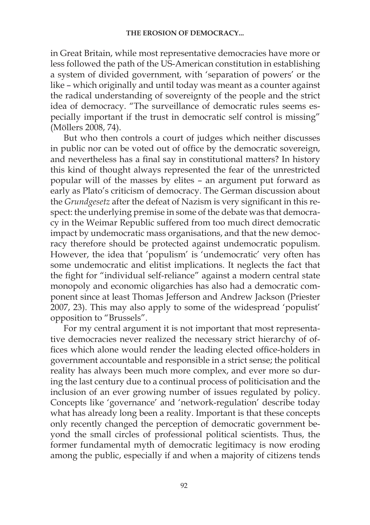in Great Britain, while most representative democracies have more or less followed the path of the US-American constitution in establishing a system of divided government, with 'separation of powers' or the like – which originally and until today was meant as a counter against the radical understanding of sovereignty of the people and the strict idea of democracy. "The surveillance of democratic rules seems especially important if the trust in democratic self control is missing" (Möllers 2008, 74).

But who then controls a court of judges which neither discusses in public nor can be voted out of office by the democratic sovereign, and nevertheless has a final say in constitutional matters? In history this kind of thought always represented the fear of the unrestricted popular will of the masses by elites – an argument put forward as early as Plato's criticism of democracy. The German discussion about the *Grundgesetz* after the defeat of Nazism is very significant in this respect: the underlying premise in some of the debate was that democracy in the Weimar Republic suffered from too much direct democratic impact by undemocratic mass organisations, and that the new democracy therefore should be protected against undemocratic populism. However, the idea that 'populism' is 'undemocratic' very often has some undemocratic and elitist implications. It neglects the fact that the fight for "individual self-reliance" against a modern central state monopoly and economic oligarchies has also had a democratic component since at least Thomas Jefferson and Andrew Jackson (Priester 2007, 23). This may also apply to some of the widespread 'populist' opposition to "Brussels".

For my central argument it is not important that most representative democracies never realized the necessary strict hierarchy of offices which alone would render the leading elected office-holders in government accountable and responsible in a strict sense; the political reality has always been much more complex, and ever more so during the last century due to a continual process of politicisation and the inclusion of an ever growing number of issues regulated by policy. Concepts like 'governance' and 'network-regulation' describe today what has already long been a reality. Important is that these concepts only recently changed the perception of democratic government beyond the small circles of professional political scientists. Thus, the former fundamental myth of democratic legitimacy is now eroding among the public, especially if and when a majority of citizens tends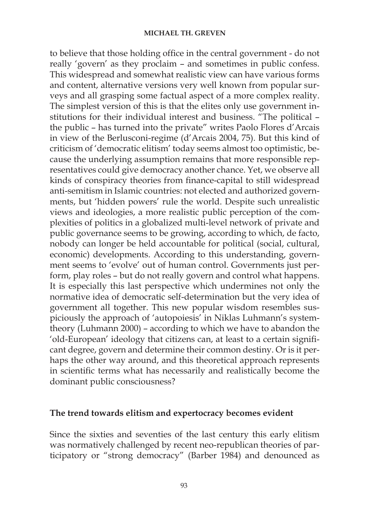to believe that those holding office in the central government - do not really 'govern' as they proclaim – and sometimes in public confess. This widespread and somewhat realistic view can have various forms and content, alternative versions very well known from popular surveys and all grasping some factual aspect of a more complex reality. The simplest version of this is that the elites only use government institutions for their individual interest and business. "The political – the public – has turned into the private" writes Paolo Flores d'Arcais in view of the Berlusconi-regime (d'Arcais 2004, 75). But this kind of criticism of 'democratic elitism' today seems almost too optimistic, because the underlying assumption remains that more responsible representatives could give democracy another chance. Yet, we observe all kinds of conspiracy theories from finance-capital to still widespread anti-semitism in Islamic countries: not elected and authorized governments, but 'hidden powers' rule the world. Despite such unrealistic views and ideologies, a more realistic public perception of the complexities of politics in a globalized multi-level network of private and public governance seems to be growing, according to which, de facto, nobody can longer be held accountable for political (social, cultural, economic) developments. According to this understanding, government seems to 'evolve' out of human control. Governments just perform, play roles – but do not really govern and control what happens. It is especially this last perspective which undermines not only the normative idea of democratic self-determination but the very idea of government all together. This new popular wisdom resembles suspiciously the approach of 'autopoiesis' in Niklas Luhmann's systemtheory (Luhmann 2000) – according to which we have to abandon the 'old-European' ideology that citizens can, at least to a certain significant degree, govern and determine their common destiny. Or is it perhaps the other way around, and this theoretical approach represents in scientific terms what has necessarily and realistically become the dominant public consciousness?

### **The trend towards elitism and expertocracy becomes evident**

Since the sixties and seventies of the last century this early elitism was normatively challenged by recent neo-republican theories of participatory or "strong democracy" (Barber 1984) and denounced as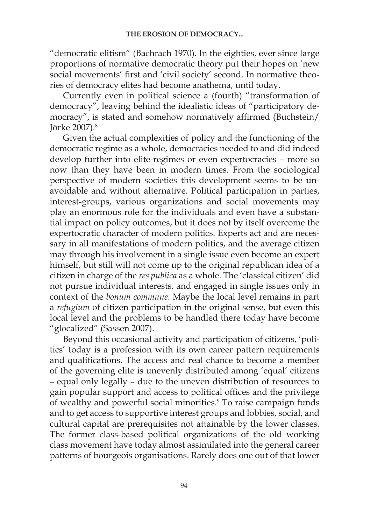"democratic elitism" (Bachrach 1970). In the eighties, ever since large proportions of normative democratic theory put their hopes on 'new social movements' first and 'civil society' second. In normative theories of democracy elites had become anathema, until today.

Currently even in political science a (fourth) "transformation of democracy", leaving behind the idealistic ideas of "participatory democracy", is stated and somehow normatively affirmed (Buchstein/ Jörke 2007).8

Given the actual complexities of policy and the functioning of the democratic regime as a whole, democracies needed to and did indeed develop further into elite-regimes or even expertocracies – more so now than they have been in modern times. From the sociological perspective of modern societies this development seems to be unavoidable and without alternative. Political participation in parties, interest-groups, various organizations and social movements may play an enormous role for the individuals and even have a substantial impact on policy outcomes, but it does not by itself overcome the expertocratic character of modern politics. Experts act and are necessary in all manifestations of modern politics, and the average citizen may through his involvement in a single issue even become an expert himself, but still will not come up to the original republican idea of a citizen in charge of the *res publica* as a whole. The 'classical citizen' did not pursue individual interests, and engaged in single issues only in context of the *bonum commune*. Maybe the local level remains in part a *refugium* of citizen participation in the original sense, but even this local level and the problems to be handled there today have become "glocalized" (Sassen 2007).

Beyond this occasional activity and participation of citizens, 'politics' today is a profession with its own career pattern requirements and qualifications. The access and real chance to become a member of the governing elite is unevenly distributed among 'equal' citizens – equal only legally – due to the uneven distribution of resources to gain popular support and access to political offices and the privilege of wealthy and powerful social minorities.<sup>9</sup> To raise campaign funds and to get access to supportive interest groups and lobbies, social, and cultural capital are prerequisites not attainable by the lower classes. The former class-based political organizations of the old working class movement have today almost assimilated into the general career patterns of bourgeois organisations. Rarely does one out of that lower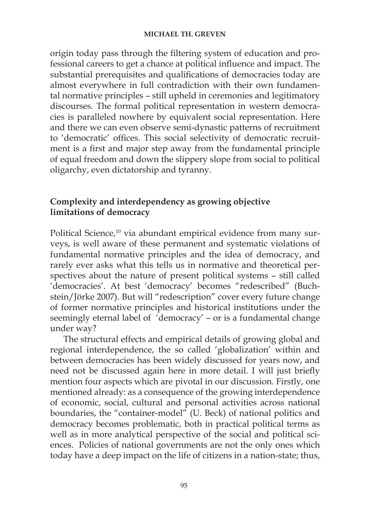origin today pass through the filtering system of education and professional careers to get a chance at political influence and impact. The substantial prerequisites and qualifications of democracies today are almost everywhere in full contradiction with their own fundamental normative principles – still upheld in ceremonies and legitimatory discourses. The formal political representation in western democracies is paralleled nowhere by equivalent social representation. Here and there we can even observe semi-dynastic patterns of recruitment to 'democratic' offices. This social selectivity of democratic recruitment is a first and major step away from the fundamental principle of equal freedom and down the slippery slope from social to political oligarchy, even dictatorship and tyranny.

# **Complexity and interdependency as growing objective limitations of democracy**

Political Science,<sup>10</sup> via abundant empirical evidence from many surveys, is well aware of these permanent and systematic violations of fundamental normative principles and the idea of democracy, and rarely ever asks what this tells us in normative and theoretical perspectives about the nature of present political systems – still called 'democracies'. At best 'democracy' becomes "redescribed" (Buchstein/Jörke 2007). But will "redescription" cover every future change of former normative principles and historical institutions under the seemingly eternal label of 'democracy' – or is a fundamental change under way?

The structural effects and empirical details of growing global and regional interdependence, the so called 'globalization' within and between democracies has been widely discussed for years now, and need not be discussed again here in more detail. I will just briefly mention four aspects which are pivotal in our discussion. Firstly, one mentioned already: as a consequence of the growing interdependence of economic, social, cultural and personal activities across national boundaries, the "container-model" (U. Beck) of national politics and democracy becomes problematic, both in practical political terms as well as in more analytical perspective of the social and political sciences. Policies of national governments are not the only ones which today have a deep impact on the life of citizens in a nation-state; thus,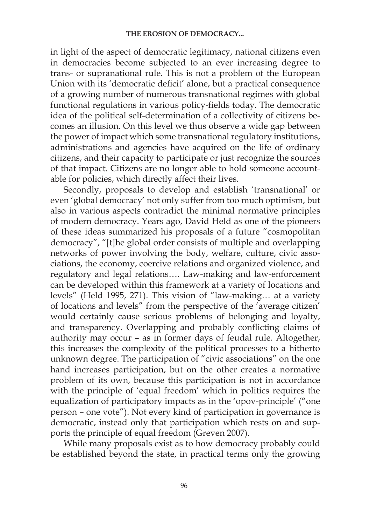in light of the aspect of democratic legitimacy, national citizens even in democracies become subjected to an ever increasing degree to trans- or supranational rule. This is not a problem of the European Union with its 'democratic deficit' alone, but a practical consequence of a growing number of numerous transnational regimes with global functional regulations in various policy-fields today. The democratic idea of the political self-determination of a collectivity of citizens becomes an illusion. On this level we thus observe a wide gap between the power of impact which some transnational regulatory institutions, administrations and agencies have acquired on the life of ordinary citizens, and their capacity to participate or just recognize the sources of that impact. Citizens are no longer able to hold someone accountable for policies, which directly affect their lives.

Secondly, proposals to develop and establish 'transnational' or even 'global democracy' not only suffer from too much optimism, but also in various aspects contradict the minimal normative principles of modern democracy. Years ago, David Held as one of the pioneers of these ideas summarized his proposals of a future "cosmopolitan democracy", "[t]he global order consists of multiple and overlapping networks of power involving the body, welfare, culture, civic associations, the economy, coercive relations and organized violence, and regulatory and legal relations…. Law-making and law-enforcement can be developed within this framework at a variety of locations and levels" (Held 1995, 271). This vision of "law-making… at a variety of locations and levels" from the perspective of the 'average citizen' would certainly cause serious problems of belonging and loyalty, and transparency. Overlapping and probably conflicting claims of authority may occur – as in former days of feudal rule. Altogether, this increases the complexity of the political processes to a hitherto unknown degree. The participation of "civic associations" on the one hand increases participation, but on the other creates a normative problem of its own, because this participation is not in accordance with the principle of 'equal freedom' which in politics requires the equalization of participatory impacts as in the 'opov-principle' ("one person – one vote"). Not every kind of participation in governance is democratic, instead only that participation which rests on and supports the principle of equal freedom (Greven 2007).

While many proposals exist as to how democracy probably could be established beyond the state, in practical terms only the growing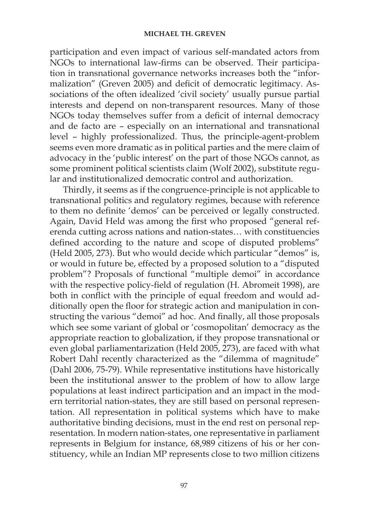participation and even impact of various self-mandated actors from NGOs to international law-firms can be observed. Their participation in transnational governance networks increases both the "informalization" (Greven 2005) and deficit of democratic legitimacy. Associations of the often idealized 'civil society' usually pursue partial interests and depend on non-transparent resources. Many of those NGOs today themselves suffer from a deficit of internal democracy and de facto are – especially on an international and transnational level – highly professionalized. Thus, the principle-agent-problem seems even more dramatic as in political parties and the mere claim of advocacy in the 'public interest' on the part of those NGOs cannot, as some prominent political scientists claim (Wolf 2002), substitute regular and institutionalized democratic control and authorization.

Thirdly, it seems as if the congruence-principle is not applicable to transnational politics and regulatory regimes, because with reference to them no definite 'demos' can be perceived or legally constructed. Again, David Held was among the first who proposed "general referenda cutting across nations and nation-states… with constituencies defined according to the nature and scope of disputed problems" (Held 2005, 273). But who would decide which particular "demos" is, or would in future be, effected by a proposed solution to a "disputed problem"? Proposals of functional "multiple demoi" in accordance with the respective policy-field of regulation (H. Abromeit 1998), are both in conflict with the principle of equal freedom and would additionally open the floor for strategic action and manipulation in constructing the various "demoi" ad hoc. And finally, all those proposals which see some variant of global or 'cosmopolitan' democracy as the appropriate reaction to globalization, if they propose transnational or even global parliamentarization (Held 2005, 273), are faced with what Robert Dahl recently characterized as the "dilemma of magnitude" (Dahl 2006, 75-79). While representative institutions have historically been the institutional answer to the problem of how to allow large populations at least indirect participation and an impact in the modern territorial nation-states, they are still based on personal representation. All representation in political systems which have to make authoritative binding decisions, must in the end rest on personal representation. In modern nation-states, one representative in parliament represents in Belgium for instance, 68,989 citizens of his or her constituency, while an Indian MP represents close to two million citizens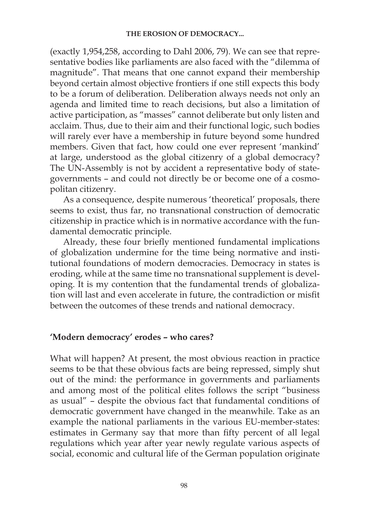(exactly 1,954,258, according to Dahl 2006, 79). We can see that representative bodies like parliaments are also faced with the "dilemma of magnitude". That means that one cannot expand their membership beyond certain almost objective frontiers if one still expects this body to be a forum of deliberation. Deliberation always needs not only an agenda and limited time to reach decisions, but also a limitation of active participation, as "masses" cannot deliberate but only listen and acclaim. Thus, due to their aim and their functional logic, such bodies will rarely ever have a membership in future beyond some hundred members. Given that fact, how could one ever represent 'mankind' at large, understood as the global citizenry of a global democracy? The UN-Assembly is not by accident a representative body of stategovernments – and could not directly be or become one of a cosmopolitan citizenry.

As a consequence, despite numerous 'theoretical' proposals, there seems to exist, thus far, no transnational construction of democratic citizenship in practice which is in normative accordance with the fundamental democratic principle.

Already, these four briefly mentioned fundamental implications of globalization undermine for the time being normative and institutional foundations of modern democracies. Democracy in states is eroding, while at the same time no transnational supplement is developing. It is my contention that the fundamental trends of globalization will last and even accelerate in future, the contradiction or misfit between the outcomes of these trends and national democracy.

### **'Modern democracy' erodes – who cares?**

What will happen? At present, the most obvious reaction in practice seems to be that these obvious facts are being repressed, simply shut out of the mind: the performance in governments and parliaments and among most of the political elites follows the script "business as usual" – despite the obvious fact that fundamental conditions of democratic government have changed in the meanwhile. Take as an example the national parliaments in the various EU-member-states: estimates in Germany say that more than fifty percent of all legal regulations which year after year newly regulate various aspects of social, economic and cultural life of the German population originate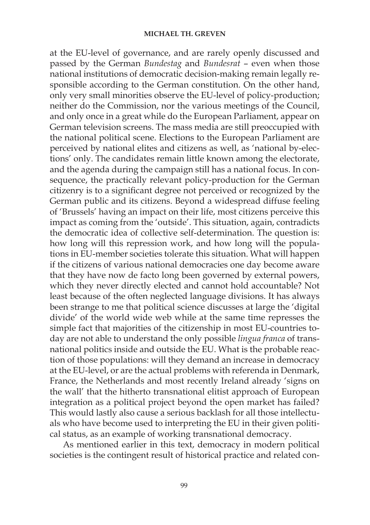at the EU-level of governance, and are rarely openly discussed and passed by the German *Bundestag* and *Bundesrat* – even when those national institutions of democratic decision-making remain legally responsible according to the German constitution. On the other hand, only very small minorities observe the EU-level of policy-production; neither do the Commission, nor the various meetings of the Council, and only once in a great while do the European Parliament, appear on German television screens. The mass media are still preoccupied with the national political scene. Elections to the European Parliament are perceived by national elites and citizens as well, as 'national by-elections' only. The candidates remain little known among the electorate, and the agenda during the campaign still has a national focus. In consequence, the practically relevant policy-production for the German citizenry is to a significant degree not perceived or recognized by the German public and its citizens. Beyond a widespread diffuse feeling of 'Brussels' having an impact on their life, most citizens perceive this impact as coming from the 'outside'. This situation, again, contradicts the democratic idea of collective self-determination. The question is: how long will this repression work, and how long will the populations in EU-member societies tolerate this situation. What will happen if the citizens of various national democracies one day become aware that they have now de facto long been governed by external powers, which they never directly elected and cannot hold accountable? Not least because of the often neglected language divisions. It has always been strange to me that political science discusses at large the 'digital divide' of the world wide web while at the same time represses the simple fact that majorities of the citizenship in most EU-countries today are not able to understand the only possible *lingua franca* of transnational politics inside and outside the EU. What is the probable reaction of those populations: will they demand an increase in democracy at the EU-level, or are the actual problems with referenda in Denmark, France, the Netherlands and most recently Ireland already 'signs on the wall' that the hitherto transnational elitist approach of European integration as a political project beyond the open market has failed? This would lastly also cause a serious backlash for all those intellectuals who have become used to interpreting the EU in their given political status, as an example of working transnational democracy.

As mentioned earlier in this text, democracy in modern political societies is the contingent result of historical practice and related con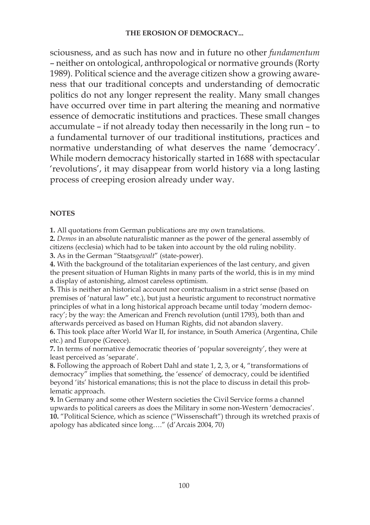sciousness, and as such has now and in future no other *fundamentum* – neither on ontological, anthropological or normative grounds (Rorty 1989). Political science and the average citizen show a growing awareness that our traditional concepts and understanding of democratic politics do not any longer represent the reality. Many small changes have occurred over time in part altering the meaning and normative essence of democratic institutions and practices. These small changes accumulate – if not already today then necessarily in the long run – to a fundamental turnover of our traditional institutions, practices and normative understanding of what deserves the name 'democracy'. While modern democracy historically started in 1688 with spectacular 'revolutions', it may disappear from world history via a long lasting process of creeping erosion already under way.

### **NOTES**

**1.** All quotations from German publications are my own translations.

**2.** *Demos* in an absolute naturalistic manner as the power of the general assembly of citizens (ecclesia) which had to be taken into account by the old ruling nobility.

**3.** As in the German "Staats*gewalt*" (state-power).

**4.** With the background of the totalitarian experiences of the last century, and given the present situation of Human Rights in many parts of the world, this is in my mind a display of astonishing, almost careless optimism.

**5.** This is neither an historical account nor contractualism in a strict sense (based on premises of 'natural law" etc.), but just a heuristic argument to reconstruct normative principles of what in a long historical approach became until today 'modern democracy'; by the way: the American and French revolution (until 1793), both than and afterwards perceived as based on Human Rights, did not abandon slavery.

**6.** This took place after World War II, for instance, in South America (Argentina, Chile etc.) and Europe (Greece).

**7.** In terms of normative democratic theories of 'popular sovereignty', they were at least perceived as 'separate'.

**8.** Following the approach of Robert Dahl and state 1, 2, 3, or 4, "transformations of democracy" implies that something, the 'essence' of democracy, could be identified beyond 'its' historical emanations; this is not the place to discuss in detail this problematic approach.

**9.** In Germany and some other Western societies the Civil Service forms a channel upwards to political careers as does the Military in some non-Western 'democracies'. **10.** "Political Science, which as science ("Wissenschaft") through its wretched praxis of apology has abdicated since long…." (d'Arcais 2004, 70)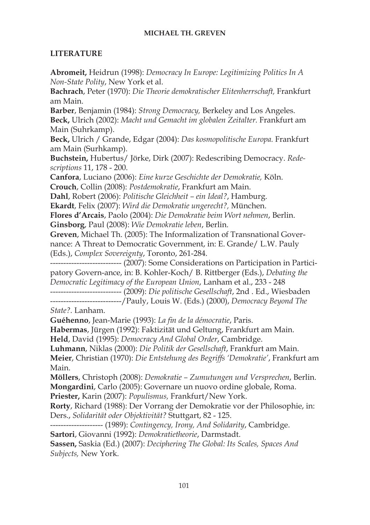### **LITERATURE**

**Abromeit,** Heidrun (1998): *Democracy In Europe: Legitimizing Politics In A Non-State Polity*, New York et al.

**Bachrach**, Peter (1970): *Die Theorie demokratischer Elitenherrschaft,* Frankfurt am Main.

**Barber**, Benjamin (1984): *Strong Democracy,* Berkeley and Los Angeles.

**Beck,** Ulrich (2002): *Macht und Gemacht im globalen Zeitalter.* Frankfurt am Main (Suhrkamp).

**Beck,** Ulrich / Grande, Edgar (2004): *Das kosmopolitische Europa.* Frankfurt am Main (Surhkamp).

**Buchstein,** Hubertus/ Jörke, Dirk (2007): Redescribing Democracy. *Redescriptions* 11, 178 - 200.

**Canfora**, Luciano (2006): *Eine kurze Geschichte der Demokratie,* Köln. **Crouch**, Collin (2008): *Postdemokratie*, Frankfurt am Main.

**Dahl**, Robert (2006): *Politische Gleichheit – ein Ideal?*, Hamburg.

**Ekardt**, Felix (2007): *Wird die Demokratie ungerecht?,* München.

**Flores d'Arcais**, Paolo (2004): *Die Demokratie beim Wort nehmen*, Berlin. **Ginsborg**, Paul (2008): *Wie Demokratie leben*, Berlin.

**Greven**, Michael Th. (2005): The Informalization of Transnational Governance: A Threat to Democratic Government, in: E. Grande/ L.W. Pauly (Eds.), *Complex Sovereignty*, Toronto, 261-284.

--------------------------- (2007): Some Considerations on Participation in Participatory Govern-ance, in: B. Kohler-Koch/ B. Rittberger (Eds.), *Debating the Democratic Legitimacy of the European Union*, Lanham et al., 233 - 248

--------------------------- (2009): *Die politische Gesellschaft*, 2nd . Ed., Wiesbaden ---------------------------/Pauly, Louis W. (Eds.) (2000), *Democracy Beyond The* 

*State?.* Lanham.

**Guéhenno**, Jean-Marie (1993): *La fin de la démocratie*, Paris.

**Habermas**, Jürgen (1992): Faktizität und Geltung, Frankfurt am Main.

**Held**, David (1995): *Democracy And Global Order*, Cambridge.

**Luhmann**, Niklas (2000): *Die Politik der Gesellschaft*, Frankfurt am Main.

**Meier**, Christian (1970): *Die Entstehung des Begriffs 'Demokratie'*, Frankfurt am Main.

**Möllers**, Christoph (2008): *Demokratie – Zumutungen und Versprechen*, Berlin. **Mongardini**, Carlo (2005): Governare un nuovo ordine globale, Roma.

**Priester,** Karin (2007): *Populismus,* Frankfurt/New York.

**Rorty**, Richard (1988): Der Vorrang der Demokratie vor der Philosophie, in: Ders., *Solidarität oder Objektivität?* Stuttgart, 82 - 125.

-------------------- (1989): *Contingency, Irony, And Solidarity*, Cambridge.

**Sartori**, Giovanni (1992): *Demokratietheorie*, Darmstadt.

**Sassen,** Saskia (Ed.) (2007): *Deciphering The Global: Its Scales, Spaces And Subjects,* New York.